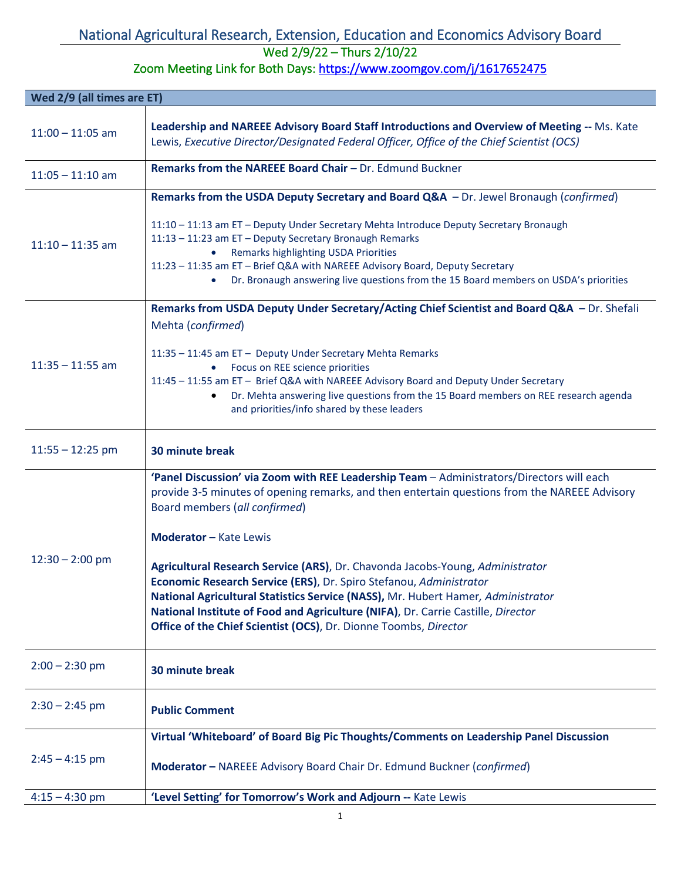## National Agricultural Research, Extension, Education and Economics Advisory Board

## Wed 2/9/22 – Thurs 2/10/22

Zoom Meeting Link for Both Days: https://www.zoomgov.com/j/1617652475

| Wed 2/9 (all times are ET) |                                                                                                                                                                                                                                                                                                                                                                                                                                                                                                                                                                                                                                                                 |
|----------------------------|-----------------------------------------------------------------------------------------------------------------------------------------------------------------------------------------------------------------------------------------------------------------------------------------------------------------------------------------------------------------------------------------------------------------------------------------------------------------------------------------------------------------------------------------------------------------------------------------------------------------------------------------------------------------|
| $11:00 - 11:05$ am         | Leadership and NAREEE Advisory Board Staff Introductions and Overview of Meeting -- Ms. Kate<br>Lewis, Executive Director/Designated Federal Officer, Office of the Chief Scientist (OCS)                                                                                                                                                                                                                                                                                                                                                                                                                                                                       |
| $11:05 - 11:10$ am         | Remarks from the NAREEE Board Chair - Dr. Edmund Buckner                                                                                                                                                                                                                                                                                                                                                                                                                                                                                                                                                                                                        |
| $11:10 - 11:35$ am         | Remarks from the USDA Deputy Secretary and Board Q&A - Dr. Jewel Bronaugh (confirmed)<br>11:10 - 11:13 am ET - Deputy Under Secretary Mehta Introduce Deputy Secretary Bronaugh<br>11:13 - 11:23 am ET - Deputy Secretary Bronaugh Remarks<br>Remarks highlighting USDA Priorities<br>$\bullet$<br>11:23 - 11:35 am ET - Brief Q&A with NAREEE Advisory Board, Deputy Secretary<br>Dr. Bronaugh answering live questions from the 15 Board members on USDA's priorities                                                                                                                                                                                         |
| $11:35 - 11:55$ am         | Remarks from USDA Deputy Under Secretary/Acting Chief Scientist and Board Q&A - Dr. Shefali<br>Mehta (confirmed)<br>11:35 - 11:45 am ET - Deputy Under Secretary Mehta Remarks<br>Focus on REE science priorities<br>11:45 - 11:55 am ET - Brief Q&A with NAREEE Advisory Board and Deputy Under Secretary<br>Dr. Mehta answering live questions from the 15 Board members on REE research agenda<br>and priorities/info shared by these leaders                                                                                                                                                                                                                |
| $11:55 - 12:25$ pm         | 30 minute break                                                                                                                                                                                                                                                                                                                                                                                                                                                                                                                                                                                                                                                 |
| $12:30 - 2:00$ pm          | 'Panel Discussion' via Zoom with REE Leadership Team - Administrators/Directors will each<br>provide 3-5 minutes of opening remarks, and then entertain questions from the NAREEE Advisory<br>Board members (all confirmed)<br><b>Moderator - Kate Lewis</b><br>Agricultural Research Service (ARS), Dr. Chavonda Jacobs-Young, Administrator<br>Economic Research Service (ERS), Dr. Spiro Stefanou, Administrator<br>National Agricultural Statistics Service (NASS), Mr. Hubert Hamer, Administrator<br>National Institute of Food and Agriculture (NIFA), Dr. Carrie Castille, Director<br>Office of the Chief Scientist (OCS), Dr. Dionne Toombs, Director |
| $2:00 - 2:30$ pm           | 30 minute break                                                                                                                                                                                                                                                                                                                                                                                                                                                                                                                                                                                                                                                 |
| $2:30 - 2:45$ pm           | <b>Public Comment</b>                                                                                                                                                                                                                                                                                                                                                                                                                                                                                                                                                                                                                                           |
| $2:45 - 4:15$ pm           | Virtual 'Whiteboard' of Board Big Pic Thoughts/Comments on Leadership Panel Discussion<br>Moderator - NAREEE Advisory Board Chair Dr. Edmund Buckner (confirmed)                                                                                                                                                                                                                                                                                                                                                                                                                                                                                                |
| $4:15 - 4:30$ pm           | 'Level Setting' for Tomorrow's Work and Adjourn -- Kate Lewis                                                                                                                                                                                                                                                                                                                                                                                                                                                                                                                                                                                                   |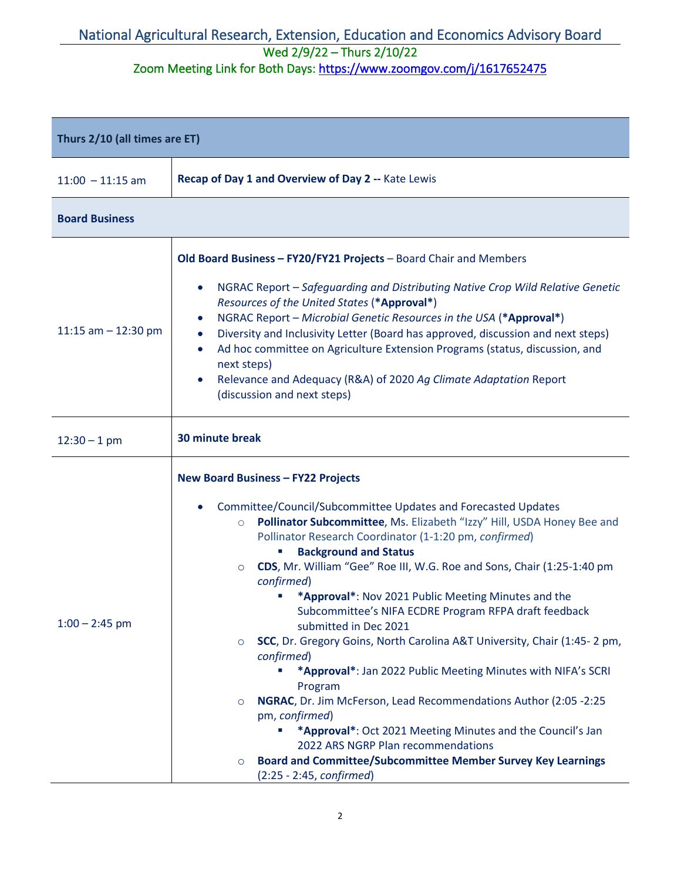## National Agricultural Research, Extension, Education and Economics Advisory Board Wed 2/9/22 – Thurs 2/10/22

Zoom Meeting Link for Both Days: https://www.zoomgov.com/j/1617652475

| Thurs 2/10 (all times are ET) |                                                                                                                                                                                                                                                                                                                                                                                                                                                                                                                                                                                                                                                                                                                                                                                                                                                                                                                                                                                                                                                 |  |
|-------------------------------|-------------------------------------------------------------------------------------------------------------------------------------------------------------------------------------------------------------------------------------------------------------------------------------------------------------------------------------------------------------------------------------------------------------------------------------------------------------------------------------------------------------------------------------------------------------------------------------------------------------------------------------------------------------------------------------------------------------------------------------------------------------------------------------------------------------------------------------------------------------------------------------------------------------------------------------------------------------------------------------------------------------------------------------------------|--|
| $11:00 - 11:15$ am            | Recap of Day 1 and Overview of Day 2 -- Kate Lewis                                                                                                                                                                                                                                                                                                                                                                                                                                                                                                                                                                                                                                                                                                                                                                                                                                                                                                                                                                                              |  |
| <b>Board Business</b>         |                                                                                                                                                                                                                                                                                                                                                                                                                                                                                                                                                                                                                                                                                                                                                                                                                                                                                                                                                                                                                                                 |  |
| 11:15 am $-$ 12:30 pm         | Old Board Business - FY20/FY21 Projects - Board Chair and Members<br>NGRAC Report - Safeguarding and Distributing Native Crop Wild Relative Genetic<br>Resources of the United States (*Approval*)<br>NGRAC Report - Microbial Genetic Resources in the USA (*Approval*)<br>$\bullet$<br>Diversity and Inclusivity Letter (Board has approved, discussion and next steps)<br>$\bullet$<br>Ad hoc committee on Agriculture Extension Programs (status, discussion, and<br>$\bullet$<br>next steps)<br>Relevance and Adequacy (R&A) of 2020 Ag Climate Adaptation Report<br>(discussion and next steps)                                                                                                                                                                                                                                                                                                                                                                                                                                           |  |
| $12:30 - 1$ pm                | 30 minute break                                                                                                                                                                                                                                                                                                                                                                                                                                                                                                                                                                                                                                                                                                                                                                                                                                                                                                                                                                                                                                 |  |
| $1:00 - 2:45$ pm              | <b>New Board Business - FY22 Projects</b><br>Committee/Council/Subcommittee Updates and Forecasted Updates<br>Pollinator Subcommittee, Ms. Elizabeth "Izzy" Hill, USDA Honey Bee and<br>$\circ$<br>Pollinator Research Coordinator (1-1:20 pm, confirmed)<br><b>Background and Status</b><br>CDS, Mr. William "Gee" Roe III, W.G. Roe and Sons, Chair (1:25-1:40 pm<br>$\circ$<br>confirmed)<br>*Approval*: Nov 2021 Public Meeting Minutes and the<br>Subcommittee's NIFA ECDRE Program RFPA draft feedback<br>submitted in Dec 2021<br>SCC, Dr. Gregory Goins, North Carolina A&T University, Chair (1:45-2 pm,<br>$\circ$<br>confirmed)<br>*Approval*: Jan 2022 Public Meeting Minutes with NIFA's SCRI<br>ш<br>Program<br>NGRAC, Dr. Jim McFerson, Lead Recommendations Author (2:05 -2:25<br>$\circ$<br>pm, confirmed)<br>*Approval*: Oct 2021 Meeting Minutes and the Council's Jan<br>2022 ARS NGRP Plan recommendations<br><b>Board and Committee/Subcommittee Member Survey Key Learnings</b><br>$\circ$<br>$(2:25 - 2:45, confirmed)$ |  |